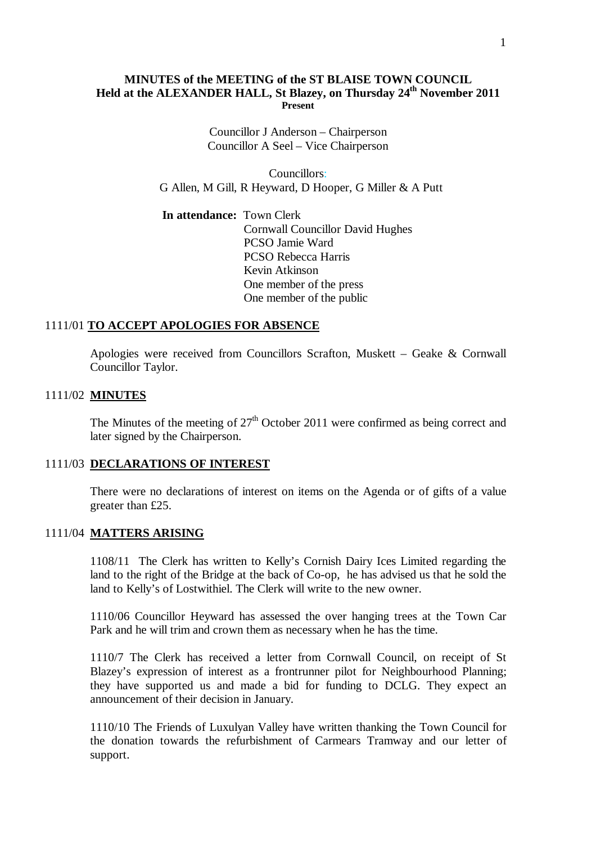## **MINUTES of the MEETING of the ST BLAISE TOWN COUNCIL Held at the ALEXANDER HALL, St Blazey, on Thursday 24th November 2011 Present**

Councillor J Anderson – Chairperson Councillor A Seel – Vice Chairperson

Councillors: G Allen, M Gill, R Heyward, D Hooper, G Miller & A Putt

**In attendance:** Town Clerk Cornwall Councillor David Hughes PCSO Jamie Ward PCSO Rebecca Harris Kevin Atkinson One member of the press One member of the public

#### 1111/01 **TO ACCEPT APOLOGIES FOR ABSENCE**

Apologies were received from Councillors Scrafton, Muskett – Geake & Cornwall Councillor Taylor.

## 1111/02 **MINUTES**

The Minutes of the meeting of  $27<sup>th</sup>$  October 2011 were confirmed as being correct and later signed by the Chairperson.

#### 1111/03 **DECLARATIONS OF INTEREST**

There were no declarations of interest on items on the Agenda or of gifts of a value greater than £25.

## 1111/04 **MATTERS ARISING**

1108/11 The Clerk has written to Kelly's Cornish Dairy Ices Limited regarding the land to the right of the Bridge at the back of Co-op, he has advised us that he sold the land to Kelly's of Lostwithiel. The Clerk will write to the new owner.

1110/06 Councillor Heyward has assessed the over hanging trees at the Town Car Park and he will trim and crown them as necessary when he has the time.

1110/7 The Clerk has received a letter from Cornwall Council, on receipt of St Blazey's expression of interest as a frontrunner pilot for Neighbourhood Planning; they have supported us and made a bid for funding to DCLG. They expect an announcement of their decision in January.

1110/10 The Friends of Luxulyan Valley have written thanking the Town Council for the donation towards the refurbishment of Carmears Tramway and our letter of support.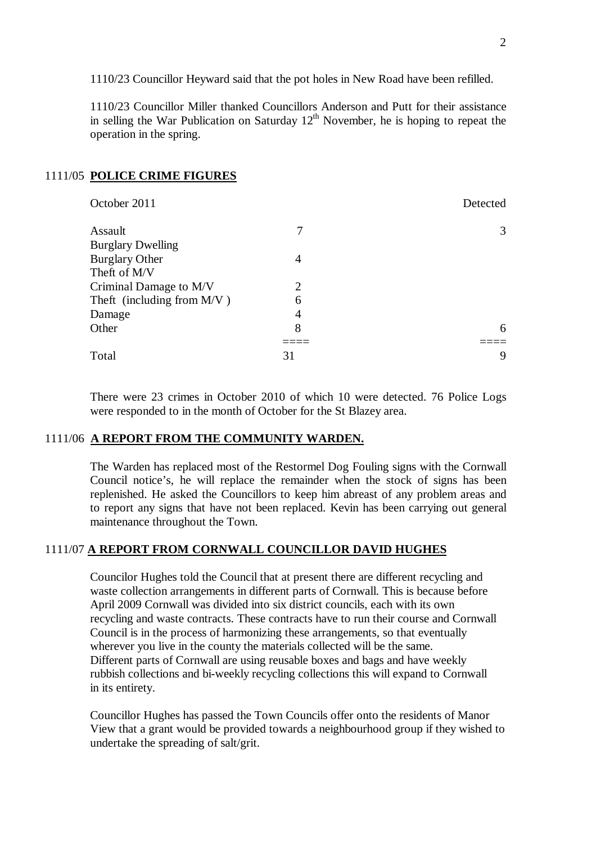1110/23 Councillor Heyward said that the pot holes in New Road have been refilled.

1110/23 Councillor Miller thanked Councillors Anderson and Putt for their assistance in selling the War Publication on Saturday  $12<sup>th</sup>$  November, he is hoping to repeat the operation in the spring.

#### 1111/05 **POLICE CRIME FIGURES**

|                             | Detected |
|-----------------------------|----------|
|                             | 3        |
|                             |          |
| 4                           |          |
|                             |          |
| $\mathcal{D}_{\mathcal{L}}$ |          |
| 6                           |          |
| 4                           |          |
| 8                           | 6        |
|                             |          |
| 31                          | 9        |
|                             |          |

There were 23 crimes in October 2010 of which 10 were detected. 76 Police Logs were responded to in the month of October for the St Blazey area.

#### 1111/06 **A REPORT FROM THE COMMUNITY WARDEN.**

The Warden has replaced most of the Restormel Dog Fouling signs with the Cornwall Council notice's, he will replace the remainder when the stock of signs has been replenished. He asked the Councillors to keep him abreast of any problem areas and to report any signs that have not been replaced. Kevin has been carrying out general maintenance throughout the Town.

#### 1111/07 **A REPORT FROM CORNWALL COUNCILLOR DAVID HUGHES**

Councilor Hughes told the Council that at present there are different recycling and waste collection arrangements in different parts of Cornwall. This is because before April 2009 Cornwall was divided into six district councils, each with its own recycling and waste contracts. These contracts have to run their course and Cornwall Council is in the process of harmonizing these arrangements, so that eventually wherever you live in the county the materials collected will be the same. Different parts of Cornwall are using reusable boxes and bags and have weekly rubbish collections and bi-weekly recycling collections this will expand to Cornwall in its entirety.

Councillor Hughes has passed the Town Councils offer onto the residents of Manor View that a grant would be provided towards a neighbourhood group if they wished to undertake the spreading of salt/grit.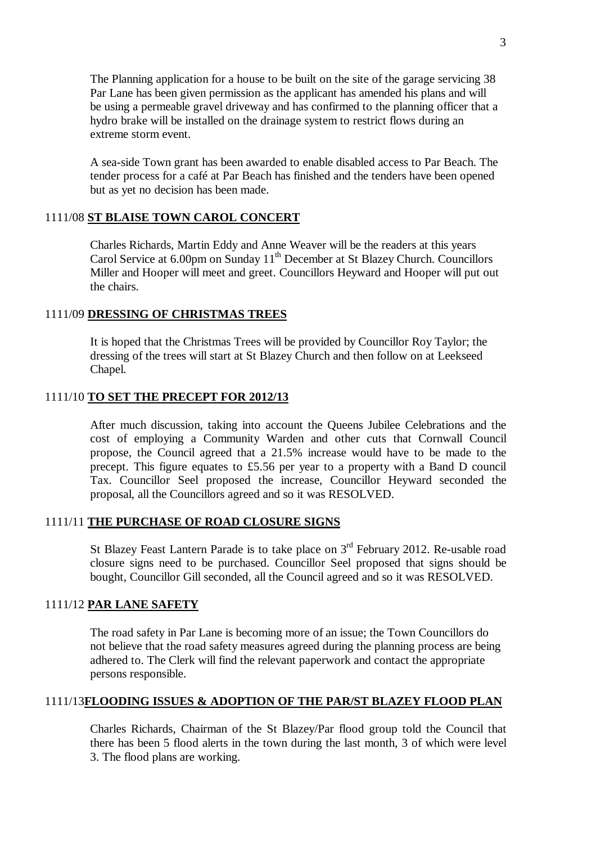The Planning application for a house to be built on the site of the garage servicing 38 Par Lane has been given permission as the applicant has amended his plans and will be using a permeable gravel driveway and has confirmed to the planning officer that a hydro brake will be installed on the drainage system to restrict flows during an extreme storm event.

A sea-side Town grant has been awarded to enable disabled access to Par Beach. The tender process for a café at Par Beach has finished and the tenders have been opened but as yet no decision has been made.

#### 1111/08 **ST BLAISE TOWN CAROL CONCERT**

Charles Richards, Martin Eddy and Anne Weaver will be the readers at this years Carol Service at 6.00pm on Sunday 11<sup>th</sup> December at St Blazey Church. Councillors Miller and Hooper will meet and greet. Councillors Heyward and Hooper will put out the chairs.

#### 1111/09 **DRESSING OF CHRISTMAS TREES**

It is hoped that the Christmas Trees will be provided by Councillor Roy Taylor; the dressing of the trees will start at St Blazey Church and then follow on at Leekseed Chapel.

#### 1111/10 **TO SET THE PRECEPT FOR 2012/13**

After much discussion, taking into account the Queens Jubilee Celebrations and the cost of employing a Community Warden and other cuts that Cornwall Council propose, the Council agreed that a 21.5% increase would have to be made to the precept. This figure equates to £5.56 per year to a property with a Band D council Tax. Councillor Seel proposed the increase, Councillor Heyward seconded the proposal, all the Councillors agreed and so it was RESOLVED.

## 1111/11 **THE PURCHASE OF ROAD CLOSURE SIGNS**

St Blazey Feast Lantern Parade is to take place on 3<sup>rd</sup> February 2012. Re-usable road closure signs need to be purchased. Councillor Seel proposed that signs should be bought, Councillor Gill seconded, all the Council agreed and so it was RESOLVED.

#### 1111/12 **PAR LANE SAFETY**

The road safety in Par Lane is becoming more of an issue; the Town Councillors do not believe that the road safety measures agreed during the planning process are being adhered to. The Clerk will find the relevant paperwork and contact the appropriate persons responsible.

## 1111/13**FLOODING ISSUES & ADOPTION OF THE PAR/ST BLAZEY FLOOD PLAN**

Charles Richards, Chairman of the St Blazey/Par flood group told the Council that there has been 5 flood alerts in the town during the last month, 3 of which were level 3. The flood plans are working.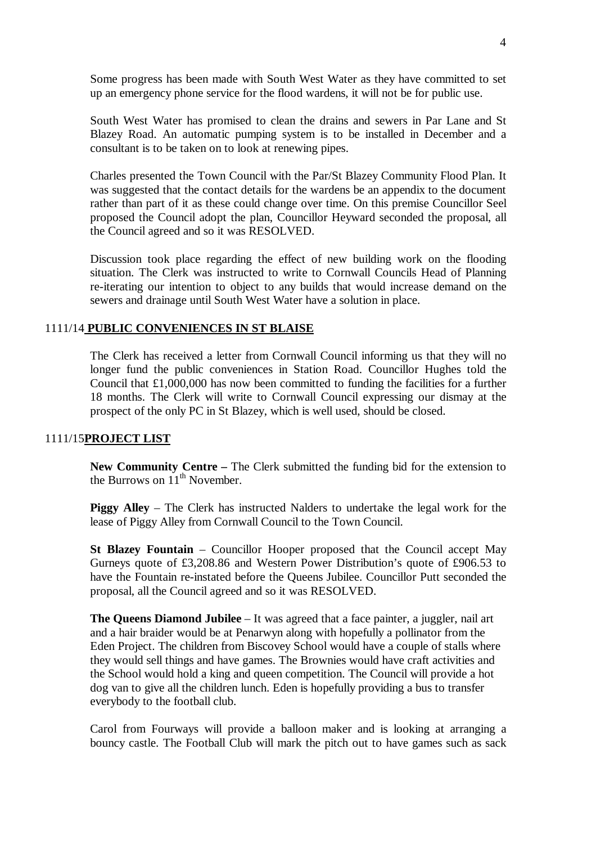Some progress has been made with South West Water as they have committed to set up an emergency phone service for the flood wardens, it will not be for public use.

South West Water has promised to clean the drains and sewers in Par Lane and St Blazey Road. An automatic pumping system is to be installed in December and a consultant is to be taken on to look at renewing pipes.

Charles presented the Town Council with the Par/St Blazey Community Flood Plan. It was suggested that the contact details for the wardens be an appendix to the document rather than part of it as these could change over time. On this premise Councillor Seel proposed the Council adopt the plan, Councillor Heyward seconded the proposal, all the Council agreed and so it was RESOLVED.

Discussion took place regarding the effect of new building work on the flooding situation. The Clerk was instructed to write to Cornwall Councils Head of Planning re-iterating our intention to object to any builds that would increase demand on the sewers and drainage until South West Water have a solution in place.

## 1111/14 **PUBLIC CONVENIENCES IN ST BLAISE**

The Clerk has received a letter from Cornwall Council informing us that they will no longer fund the public conveniences in Station Road. Councillor Hughes told the Council that £1,000,000 has now been committed to funding the facilities for a further 18 months. The Clerk will write to Cornwall Council expressing our dismay at the prospect of the only PC in St Blazey, which is well used, should be closed.

#### 1111/15**PROJECT LIST**

**New Community Centre –** The Clerk submitted the funding bid for the extension to the Burrows on  $11<sup>th</sup>$  November.

**Piggy Alley** – The Clerk has instructed Nalders to undertake the legal work for the lease of Piggy Alley from Cornwall Council to the Town Council.

**St Blazey Fountain** – Councillor Hooper proposed that the Council accept May Gurneys quote of £3,208.86 and Western Power Distribution's quote of £906.53 to have the Fountain re-instated before the Queens Jubilee. Councillor Putt seconded the proposal, all the Council agreed and so it was RESOLVED.

**The Queens Diamond Jubilee** – It was agreed that a face painter, a juggler, nail art and a hair braider would be at Penarwyn along with hopefully a pollinator from the Eden Project. The children from Biscovey School would have a couple of stalls where they would sell things and have games. The Brownies would have craft activities and the School would hold a king and queen competition. The Council will provide a hot dog van to give all the children lunch. Eden is hopefully providing a bus to transfer everybody to the football club.

Carol from Fourways will provide a balloon maker and is looking at arranging a bouncy castle. The Football Club will mark the pitch out to have games such as sack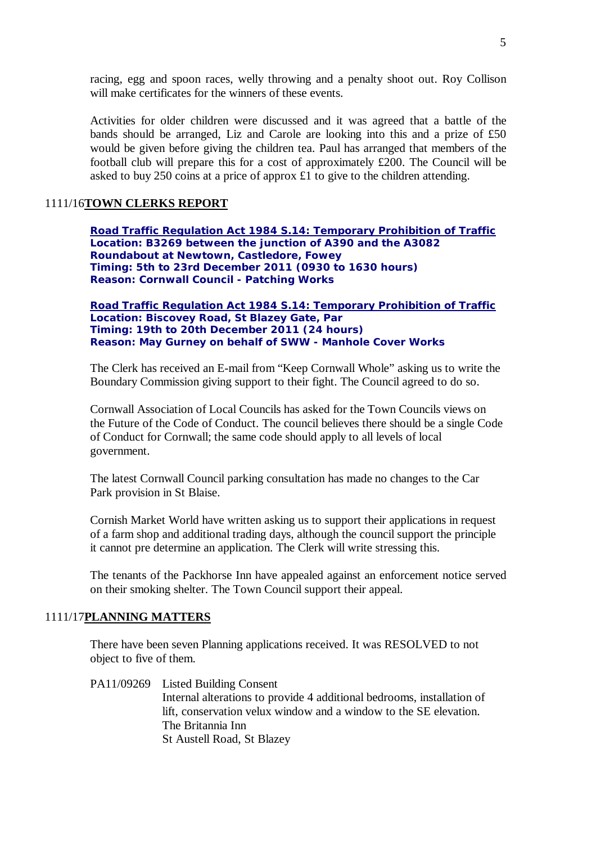racing, egg and spoon races, welly throwing and a penalty shoot out. Roy Collison will make certificates for the winners of these events.

Activities for older children were discussed and it was agreed that a battle of the bands should be arranged, Liz and Carole are looking into this and a prize of £50 would be given before giving the children tea. Paul has arranged that members of the football club will prepare this for a cost of approximately £200. The Council will be asked to buy 250 coins at a price of approx £1 to give to the children attending.

#### 1111/16**TOWN CLERKS REPORT**

**Road Traffic Regulation Act 1984 S.14: Temporary Prohibition of Traffic Location: B3269 between the junction of A390 and the A3082 Roundabout at Newtown, Castledore, Fowey Timing: 5th to 23rd December 2011 (0930 to 1630 hours) Reason: Cornwall Council - Patching Works**

**Road Traffic Regulation Act 1984 S.14: Temporary Prohibition of Traffic Location: Biscovey Road, St Blazey Gate, Par Timing: 19th to 20th December 2011 (24 hours) Reason: May Gurney on behalf of SWW - Manhole Cover Works**

The Clerk has received an E-mail from "Keep Cornwall Whole" asking us to write the Boundary Commission giving support to their fight. The Council agreed to do so.

Cornwall Association of Local Councils has asked for the Town Councils views on the Future of the Code of Conduct. The council believes there should be a single Code of Conduct for Cornwall; the same code should apply to all levels of local government.

The latest Cornwall Council parking consultation has made no changes to the Car Park provision in St Blaise.

Cornish Market World have written asking us to support their applications in request of a farm shop and additional trading days, although the council support the principle it cannot pre determine an application. The Clerk will write stressing this.

The tenants of the Packhorse Inn have appealed against an enforcement notice served on their smoking shelter. The Town Council support their appeal.

#### 1111/17**PLANNING MATTERS**

There have been seven Planning applications received. It was RESOLVED to not object to five of them.

PA11/09269 Listed Building Consent Internal alterations to provide 4 additional bedrooms, installation of lift, conservation velux window and a window to the SE elevation. The Britannia Inn St Austell Road, St Blazey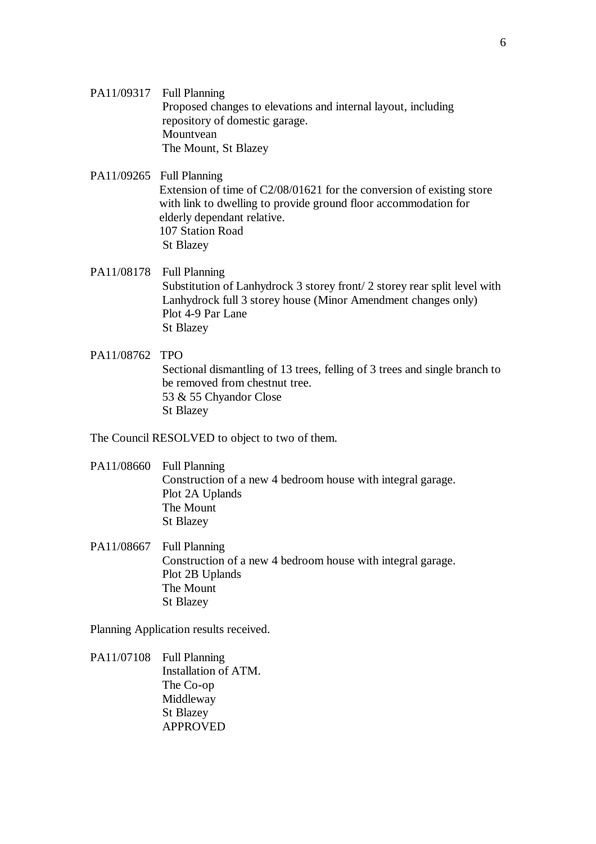- PA11/09317 Full Planning Proposed changes to elevations and internal layout, including repository of domestic garage. Mountvean The Mount, St Blazey
- PA11/09265 Full Planning

Extension of time of C2/08/01621 for the conversion of existing store with link to dwelling to provide ground floor accommodation for elderly dependant relative. 107 Station Road St Blazey

PA11/08178 Full Planning Substitution of Lanhydrock 3 storey front/ 2 storey rear split level with Lanhydrock full 3 storey house (Minor Amendment changes only) Plot 4-9 Par Lane St Blazey

PA11/08762 TPO Sectional dismantling of 13 trees, felling of 3 trees and single branch to be removed from chestnut tree. 53 & 55 Chyandor Close St Blazey

The Council RESOLVED to object to two of them.

PA11/08660 Full Planning Construction of a new 4 bedroom house with integral garage. Plot 2A Uplands The Mount St Blazey

PA11/08667 Full Planning Construction of a new 4 bedroom house with integral garage. Plot 2B Uplands The Mount St Blazey

Planning Application results received.

PA11/07108 Full Planning Installation of ATM. The Co-op Middleway St Blazey APPROVED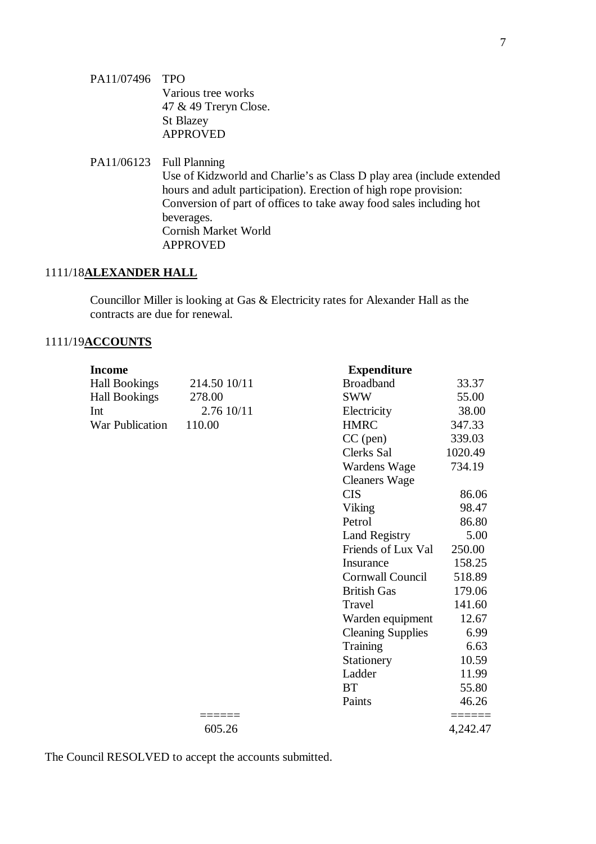PA11/07496 TPO Various tree works 47 & 49 Treryn Close. St Blazey APPROVED

PA11/06123 Full Planning

Use of Kidzworld and Charlie's as Class D play area (include extended hours and adult participation). Erection of high rope provision: Conversion of part of offices to take away food sales including hot beverages. Cornish Market World APPROVED

## 1111/18**ALEXANDER HALL**

Councillor Miller is looking at Gas & Electricity rates for Alexander Hall as the contracts are due for renewal.

## 1111/19**ACCOUNTS**

| Income                 |              | <b>Expenditure</b>       |          |
|------------------------|--------------|--------------------------|----------|
| <b>Hall Bookings</b>   | 214.50 10/11 | <b>Broadband</b>         | 33.37    |
| <b>Hall Bookings</b>   | 278.00       | <b>SWW</b>               | 55.00    |
| Int                    | 2.76 10/11   | Electricity              | 38.00    |
| <b>War Publication</b> | 110.00       | <b>HMRC</b>              | 347.33   |
|                        |              | $CC$ (pen)               | 339.03   |
|                        |              | Clerks Sal               | 1020.49  |
|                        |              | Wardens Wage             | 734.19   |
|                        |              | <b>Cleaners Wage</b>     |          |
|                        |              | <b>CIS</b>               | 86.06    |
|                        |              | Viking                   | 98.47    |
|                        |              | Petrol                   | 86.80    |
|                        |              | <b>Land Registry</b>     | 5.00     |
|                        |              | Friends of Lux Val       | 250.00   |
|                        |              | Insurance                | 158.25   |
|                        |              | Cornwall Council         | 518.89   |
|                        |              | <b>British Gas</b>       | 179.06   |
|                        |              | Travel                   | 141.60   |
|                        |              | Warden equipment         | 12.67    |
|                        |              | <b>Cleaning Supplies</b> | 6.99     |
|                        |              | Training                 | 6.63     |
|                        |              | Stationery               | 10.59    |
|                        |              | Ladder                   | 11.99    |
|                        |              | <b>BT</b>                | 55.80    |
|                        |              | Paints                   | 46.26    |
|                        |              |                          |          |
|                        | 605.26       |                          | 4,242.47 |

The Council RESOLVED to accept the accounts submitted.